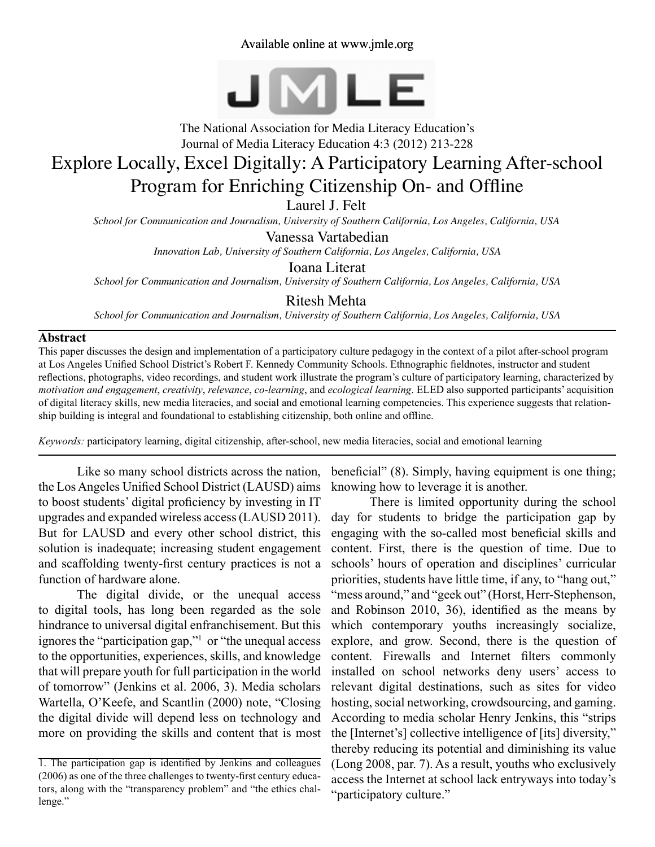Available online at www.jmle.org



The National Association for Media Literacy Education's Journal of Media Literacy Education 4:3 (2012) 213-228

# Explore Locally, Excel Digitally: A Participatory Learning After-school Program for Enriching Citizenship On- and Offline

Laurel J. Felt

*School for Communication and Journalism, University of Southern California, Los Angeles, California, USA*

Vanessa Vartabedian

*Innovation Lab, University of Southern California, Los Angeles, California, USA*

Ioana Literat

*School for Communication and Journalism, University of Southern California, Los Angeles, California, USA*

Ritesh Mehta

*School for Communication and Journalism, University of Southern California, Los Angeles, California, USA*

#### **Abstract**

This paper discusses the design and implementation of a participatory culture pedagogy in the context of a pilot after-school program at Los Angeles Unified School District's Robert F. Kennedy Community Schools. Ethnographic fieldnotes, instructor and student reflections, photographs, video recordings, and student work illustrate the program's culture of participatory learning, characterized by *motivation and engagement*, *creativity*, *relevance*, *co-learning*, and *ecological learning*. ELED also supported participants' acquisition of digital literacy skills, new media literacies, and social and emotional learning competencies. This experience suggests that relationship building is integral and foundational to establishing citizenship, both online and offline.

*Keywords:* participatory learning, digital citizenship, after-school, new media literacies, social and emotional learning

Like so many school districts across the nation, the Los Angeles Unified School District (LAUSD) aims to boost students' digital proficiency by investing in IT upgrades and expanded wireless access (LAUSD 2011). But for LAUSD and every other school district, this solution is inadequate; increasing student engagement and scaffolding twenty-first century practices is not a function of hardware alone.

The digital divide, or the unequal access to digital tools, has long been regarded as the sole hindrance to universal digital enfranchisement. But this ignores the "participation gap,"1 or "the unequal access to the opportunities, experiences, skills, and knowledge that will prepare youth for full participation in the world of tomorrow" (Jenkins et al. 2006, 3). Media scholars Wartella, O'Keefe, and Scantlin (2000) note, "Closing the digital divide will depend less on technology and more on providing the skills and content that is most

beneficial" (8). Simply, having equipment is one thing; knowing how to leverage it is another.

There is limited opportunity during the school day for students to bridge the participation gap by engaging with the so-called most beneficial skills and content. First, there is the question of time. Due to schools' hours of operation and disciplines' curricular priorities, students have little time, if any, to "hang out," "mess around," and "geek out" (Horst, Herr-Stephenson, and Robinson 2010, 36), identified as the means by which contemporary youths increasingly socialize, explore, and grow. Second, there is the question of content. Firewalls and Internet filters commonly installed on school networks deny users' access to relevant digital destinations, such as sites for video hosting, social networking, crowdsourcing, and gaming. According to media scholar Henry Jenkins, this "strips the [Internet's] collective intelligence of [its] diversity," thereby reducing its potential and diminishing its value (Long 2008, par. 7). As a result, youths who exclusively access the Internet at school lack entryways into today's "participatory culture."

<sup>1.</sup> The participation gap is identified by Jenkins and colleagues (2006) as one of the three challenges to twenty-first century educators, along with the "transparency problem" and "the ethics challenge."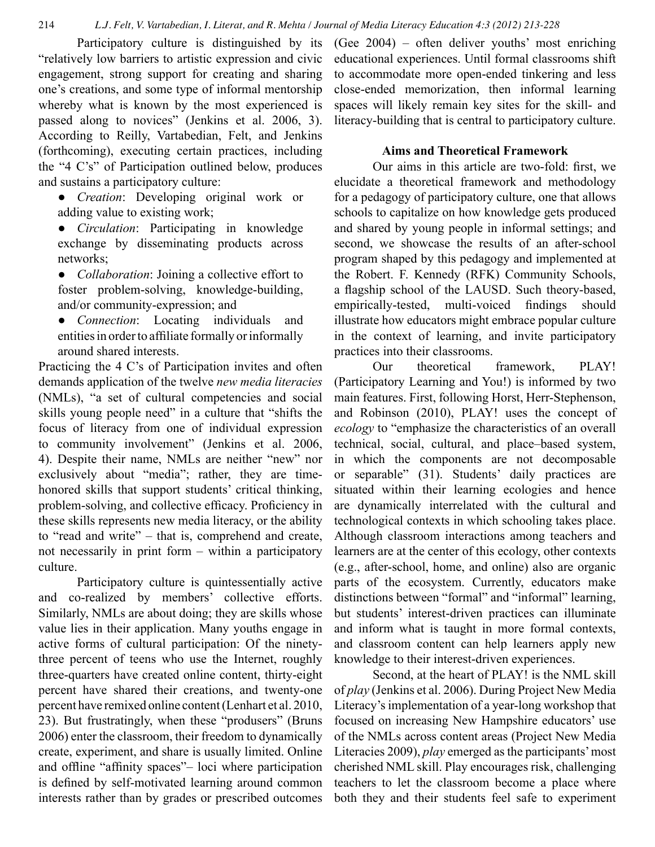Participatory culture is distinguished by its "relatively low barriers to artistic expression and civic engagement, strong support for creating and sharing one's creations, and some type of informal mentorship whereby what is known by the most experienced is passed along to novices" (Jenkins et al. 2006, 3). According to Reilly, Vartabedian, Felt, and Jenkins (forthcoming), executing certain practices, including the "4 C's" of Participation outlined below, produces and sustains a participatory culture:

● *Creation*: Developing original work or adding value to existing work;

- *Circulation*: Participating in knowledge exchange by disseminating products across networks;
- *Collaboration*: Joining a collective effort to foster problem-solving, knowledge-building, and/or community-expression; and
- *Connection*: Locating individuals and entities in order to affiliate formally or informally around shared interests.

Practicing the 4 C's of Participation invites and often demands application of the twelve *new media literacies*  (NMLs), "a set of cultural competencies and social skills young people need" in a culture that "shifts the focus of literacy from one of individual expression to community involvement" (Jenkins et al. 2006, 4). Despite their name, NMLs are neither "new" nor exclusively about "media"; rather, they are timehonored skills that support students' critical thinking, problem-solving, and collective efficacy. Proficiency in these skills represents new media literacy, or the ability to "read and write" – that is, comprehend and create, not necessarily in print form – within a participatory culture.

Participatory culture is quintessentially active and co-realized by members' collective efforts. Similarly, NMLs are about doing; they are skills whose value lies in their application. Many youths engage in active forms of cultural participation: Of the ninetythree percent of teens who use the Internet, roughly three-quarters have created online content, thirty-eight percent have shared their creations, and twenty-one percent have remixed online content (Lenhart et al. 2010, 23). But frustratingly, when these "produsers" (Bruns 2006) enter the classroom, their freedom to dynamically create, experiment, and share is usually limited. Online and offline "affinity spaces"– loci where participation is defined by self-motivated learning around common interests rather than by grades or prescribed outcomes (Gee 2004) – often deliver youths' most enriching educational experiences. Until formal classrooms shift to accommodate more open-ended tinkering and less close-ended memorization, then informal learning spaces will likely remain key sites for the skill- and literacy-building that is central to participatory culture.

# **Aims and Theoretical Framework**

Our aims in this article are two-fold: first, we elucidate a theoretical framework and methodology for a pedagogy of participatory culture, one that allows schools to capitalize on how knowledge gets produced and shared by young people in informal settings; and second, we showcase the results of an after-school program shaped by this pedagogy and implemented at the Robert. F. Kennedy (RFK) Community Schools, a flagship school of the LAUSD. Such theory-based, empirically-tested, multi-voiced findings should illustrate how educators might embrace popular culture in the context of learning, and invite participatory practices into their classrooms.

Our theoretical framework, PLAY! (Participatory Learning and You!) is informed by two main features. First, following Horst, Herr-Stephenson, and Robinson (2010), PLAY! uses the concept of *ecology* to "emphasize the characteristics of an overall technical, social, cultural, and place–based system, in which the components are not decomposable or separable" (31). Students' daily practices are situated within their learning ecologies and hence are dynamically interrelated with the cultural and technological contexts in which schooling takes place. Although classroom interactions among teachers and learners are at the center of this ecology, other contexts (e.g., after-school, home, and online) also are organic parts of the ecosystem. Currently, educators make distinctions between "formal" and "informal" learning, but students' interest-driven practices can illuminate and inform what is taught in more formal contexts, and classroom content can help learners apply new knowledge to their interest-driven experiences.

Second, at the heart of PLAY! is the NML skill of *play* (Jenkins et al. 2006). During Project New Media Literacy's implementation of a year-long workshop that focused on increasing New Hampshire educators' use of the NMLs across content areas (Project New Media Literacies 2009), *play* emerged as the participants' most cherished NML skill. Play encourages risk, challenging teachers to let the classroom become a place where both they and their students feel safe to experiment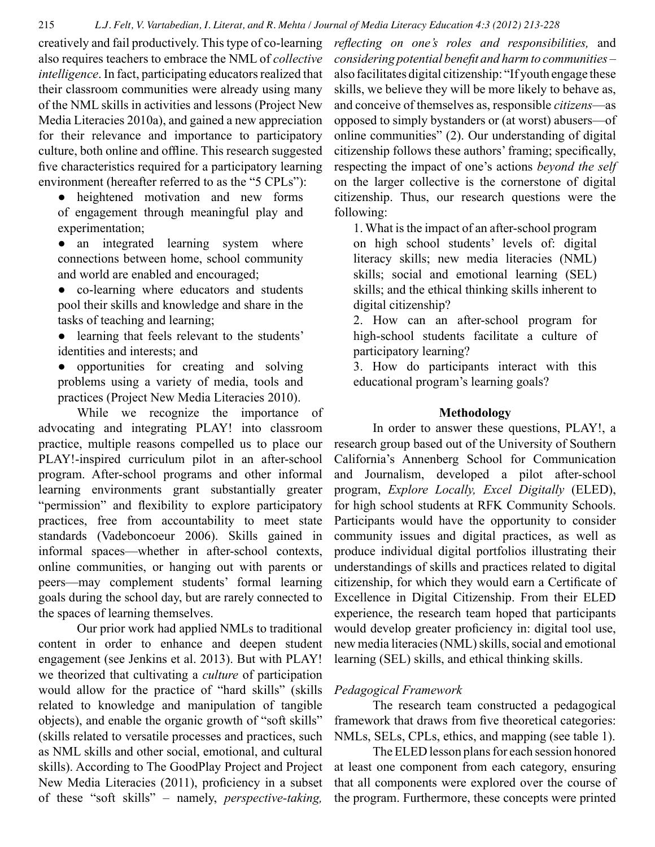creatively and fail productively. This type of co-learning also requires teachers to embrace the NML of *collective intelligence*. In fact, participating educators realized that their classroom communities were already using many of the NML skills in activities and lessons (Project New Media Literacies 2010a), and gained a new appreciation for their relevance and importance to participatory culture, both online and offline. This research suggested five characteristics required for a participatory learning environment (hereafter referred to as the "5 CPLs"):

• heightened motivation and new forms of engagement through meaningful play and experimentation;

• an integrated learning system where connections between home, school community and world are enabled and encouraged;

● co-learning where educators and students pool their skills and knowledge and share in the tasks of teaching and learning;

- learning that feels relevant to the students' identities and interests; and
- opportunities for creating and solving problems using a variety of media, tools and practices (Project New Media Literacies 2010).

While we recognize the importance of advocating and integrating PLAY! into classroom practice, multiple reasons compelled us to place our PLAY!-inspired curriculum pilot in an after-school program. After-school programs and other informal learning environments grant substantially greater "permission" and flexibility to explore participatory practices, free from accountability to meet state standards (Vadeboncoeur 2006). Skills gained in informal spaces—whether in after-school contexts, online communities, or hanging out with parents or peers—may complement students' formal learning goals during the school day, but are rarely connected to the spaces of learning themselves.

Our prior work had applied NMLs to traditional content in order to enhance and deepen student engagement (see Jenkins et al. 2013). But with PLAY! we theorized that cultivating a *culture* of participation would allow for the practice of "hard skills" (skills related to knowledge and manipulation of tangible objects), and enable the organic growth of "soft skills" (skills related to versatile processes and practices, such as NML skills and other social, emotional, and cultural skills). According to The GoodPlay Project and Project New Media Literacies (2011), proficiency in a subset of these "soft skills" – namely, *perspective-taking,* 

*reflecting on one's roles and responsibilities,* and *considering potential benefit and harm to communities* – also facilitates digital citizenship: "If youth engage these skills, we believe they will be more likely to behave as, and conceive of themselves as, responsible *citizens*—as opposed to simply bystanders or (at worst) abusers—of online communities" (2). Our understanding of digital citizenship follows these authors' framing; specifically, respecting the impact of one's actions *beyond the self* on the larger collective is the cornerstone of digital citizenship. Thus, our research questions were the following:

1. What is the impact of an after-school program on high school students' levels of: digital literacy skills; new media literacies (NML) skills; social and emotional learning (SEL) skills; and the ethical thinking skills inherent to digital citizenship?

2. How can an after-school program for high-school students facilitate a culture of participatory learning?

3. How do participants interact with this educational program's learning goals?

## **Methodology**

In order to answer these questions, PLAY!, a research group based out of the University of Southern California's Annenberg School for Communication and Journalism, developed a pilot after-school program, *Explore Locally, Excel Digitally* (ELED), for high school students at RFK Community Schools. Participants would have the opportunity to consider community issues and digital practices, as well as produce individual digital portfolios illustrating their understandings of skills and practices related to digital citizenship, for which they would earn a Certificate of Excellence in Digital Citizenship. From their ELED experience, the research team hoped that participants would develop greater proficiency in: digital tool use, new media literacies (NML) skills, social and emotional learning (SEL) skills, and ethical thinking skills.

#### *Pedagogical Framework*

The research team constructed a pedagogical framework that draws from five theoretical categories: NMLs, SELs, CPLs, ethics, and mapping (see table 1).

The ELED lesson plans for each session honored at least one component from each category, ensuring that all components were explored over the course of the program. Furthermore, these concepts were printed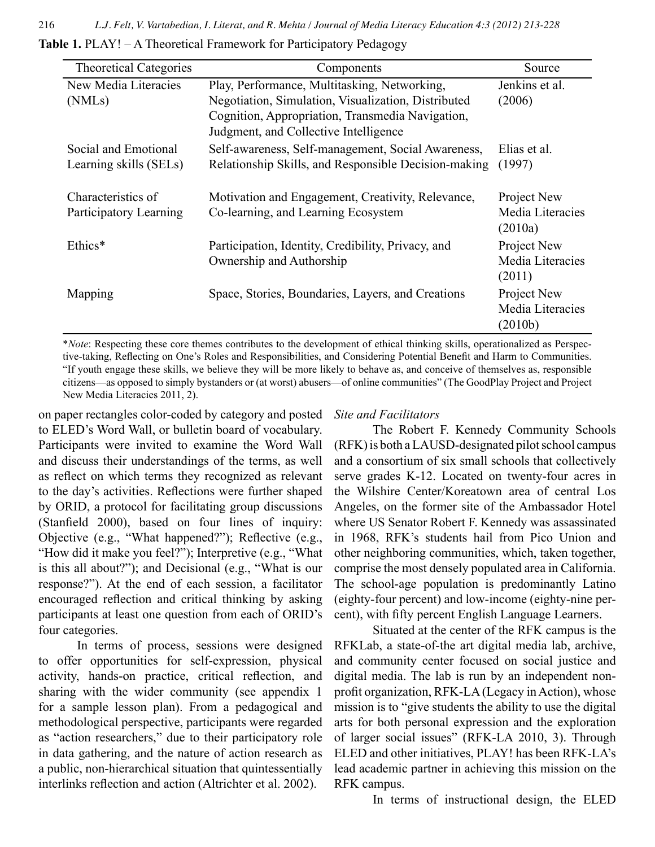**Table 1.** PLAY! – A Theoretical Framework for Participatory Pedagogy

| <b>Theoretical Categories</b> | Components                                           | Source           |
|-------------------------------|------------------------------------------------------|------------------|
| New Media Literacies          | Play, Performance, Multitasking, Networking,         | Jenkins et al.   |
| (NML <sub>s</sub> )           | Negotiation, Simulation, Visualization, Distributed  | (2006)           |
|                               | Cognition, Appropriation, Transmedia Navigation,     |                  |
|                               | Judgment, and Collective Intelligence                |                  |
| Social and Emotional          | Self-awareness, Self-management, Social Awareness,   | Elias et al.     |
| Learning skills (SELs)        | Relationship Skills, and Responsible Decision-making | (1997)           |
|                               |                                                      |                  |
| Characteristics of            | Motivation and Engagement, Creativity, Relevance,    | Project New      |
| Participatory Learning        | Co-learning, and Learning Ecosystem                  | Media Literacies |
|                               |                                                      | (2010a)          |
| Ethics*                       | Participation, Identity, Credibility, Privacy, and   | Project New      |
|                               | Ownership and Authorship                             | Media Literacies |
|                               |                                                      | (2011)           |
| Mapping                       | Space, Stories, Boundaries, Layers, and Creations    | Project New      |
|                               |                                                      | Media Literacies |
|                               |                                                      | (2010b)          |

\**Note*: Respecting these core themes contributes to the development of ethical thinking skills, operationalized as Perspective-taking, Reflecting on One's Roles and Responsibilities, and Considering Potential Benefit and Harm to Communities. "If youth engage these skills, we believe they will be more likely to behave as, and conceive of themselves as, responsible citizens—as opposed to simply bystanders or (at worst) abusers—of online communities" (The GoodPlay Project and Project New Media Literacies 2011, 2).

on paper rectangles color-coded by category and posted to ELED's Word Wall, or bulletin board of vocabulary. Participants were invited to examine the Word Wall and discuss their understandings of the terms, as well as reflect on which terms they recognized as relevant to the day's activities. Reflections were further shaped by ORID, a protocol for facilitating group discussions (Stanfield 2000), based on four lines of inquiry: Objective (e.g., "What happened?"); Reflective (e.g., "How did it make you feel?"); Interpretive (e.g., "What is this all about?"); and Decisional (e.g., "What is our response?"). At the end of each session, a facilitator encouraged reflection and critical thinking by asking participants at least one question from each of ORID's four categories.

In terms of process, sessions were designed to offer opportunities for self-expression, physical activity, hands-on practice, critical reflection, and sharing with the wider community (see appendix 1 for a sample lesson plan). From a pedagogical and methodological perspective, participants were regarded as "action researchers," due to their participatory role in data gathering, and the nature of action research as a public, non-hierarchical situation that quintessentially interlinks reflection and action (Altrichter et al. 2002).

#### *Site and Facilitators*

The Robert F. Kennedy Community Schools (RFK) is both a LAUSD-designated pilot school campus and a consortium of six small schools that collectively serve grades K-12. Located on twenty-four acres in the Wilshire Center/Koreatown area of central Los Angeles, on the former site of the Ambassador Hotel where US Senator Robert F. Kennedy was assassinated in 1968, RFK's students hail from Pico Union and other neighboring communities, which, taken together, comprise the most densely populated area in California. The school-age population is predominantly Latino (eighty-four percent) and low-income (eighty-nine percent), with fifty percent English Language Learners.

Situated at the center of the RFK campus is the RFKLab, a state-of-the art digital media lab, archive, and community center focused on social justice and digital media. The lab is run by an independent nonprofit organization, RFK-LA (Legacy in Action), whose mission is to "give students the ability to use the digital arts for both personal expression and the exploration of larger social issues" (RFK-LA 2010, 3). Through ELED and other initiatives, PLAY! has been RFK-LA's lead academic partner in achieving this mission on the RFK campus.

In terms of instructional design, the ELED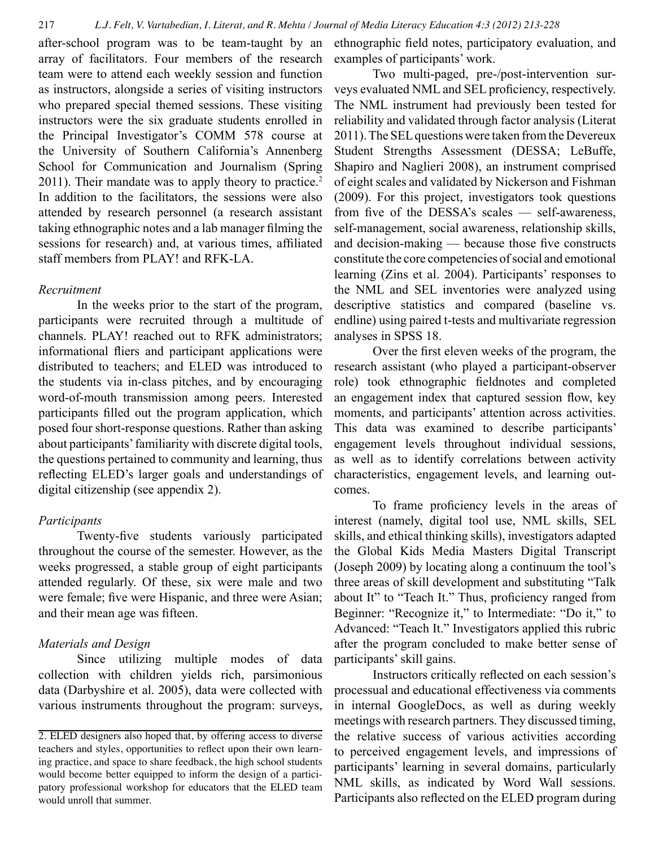after-school program was to be team-taught by an array of facilitators. Four members of the research team were to attend each weekly session and function as instructors, alongside a series of visiting instructors who prepared special themed sessions. These visiting instructors were the six graduate students enrolled in the Principal Investigator's COMM 578 course at the University of Southern California's Annenberg School for Communication and Journalism (Spring 2011). Their mandate was to apply theory to practice.<sup>2</sup> In addition to the facilitators, the sessions were also attended by research personnel (a research assistant taking ethnographic notes and a lab manager filming the sessions for research) and, at various times, affiliated staff members from PLAY! and RFK-LA.

### *Recruitment*

 In the weeks prior to the start of the program, participants were recruited through a multitude of channels. PLAY! reached out to RFK administrators; informational fliers and participant applications were distributed to teachers; and ELED was introduced to the students via in-class pitches, and by encouraging word-of-mouth transmission among peers. Interested participants filled out the program application, which posed four short-response questions. Rather than asking about participants' familiarity with discrete digital tools, the questions pertained to community and learning, thus reflecting ELED's larger goals and understandings of digital citizenship (see appendix 2).

## *Participants*

Twenty-five students variously participated throughout the course of the semester. However, as the weeks progressed, a stable group of eight participants attended regularly. Of these, six were male and two were female; five were Hispanic, and three were Asian; and their mean age was fifteen.

## *Materials and Design*

Since utilizing multiple modes of data collection with children yields rich, parsimonious data (Darbyshire et al. 2005), data were collected with various instruments throughout the program: surveys,

ethnographic field notes, participatory evaluation, and examples of participants' work.

Two multi-paged, pre-/post-intervention surveys evaluated NML and SEL proficiency, respectively. The NML instrument had previously been tested for reliability and validated through factor analysis (Literat 2011). The SEL questions were taken from the Devereux Student Strengths Assessment (DESSA; LeBuffe, Shapiro and Naglieri 2008), an instrument comprised of eight scales and validated by Nickerson and Fishman (2009). For this project, investigators took questions from five of the DESSA's scales — self-awareness, self-management, social awareness, relationship skills, and decision-making — because those five constructs constitute the core competencies of social and emotional learning (Zins et al. 2004). Participants' responses to the NML and SEL inventories were analyzed using descriptive statistics and compared (baseline vs. endline) using paired t-tests and multivariate regression analyses in SPSS 18.

Over the first eleven weeks of the program, the research assistant (who played a participant-observer role) took ethnographic fieldnotes and completed an engagement index that captured session flow, key moments, and participants' attention across activities. This data was examined to describe participants' engagement levels throughout individual sessions, as well as to identify correlations between activity characteristics, engagement levels, and learning outcomes.

To frame proficiency levels in the areas of interest (namely, digital tool use, NML skills, SEL skills, and ethical thinking skills), investigators adapted the Global Kids Media Masters Digital Transcript (Joseph 2009) by locating along a continuum the tool's three areas of skill development and substituting "Talk about It" to "Teach It." Thus, proficiency ranged from Beginner: "Recognize it," to Intermediate: "Do it," to Advanced: "Teach It." Investigators applied this rubric after the program concluded to make better sense of participants' skill gains.

Instructors critically reflected on each session's processual and educational effectiveness via comments in internal GoogleDocs, as well as during weekly meetings with research partners. They discussed timing, the relative success of various activities according to perceived engagement levels, and impressions of participants' learning in several domains, particularly NML skills, as indicated by Word Wall sessions. Participants also reflected on the ELED program during

<sup>2.</sup> ELED designers also hoped that, by offering access to diverse teachers and styles, opportunities to reflect upon their own learning practice, and space to share feedback, the high school students would become better equipped to inform the design of a participatory professional workshop for educators that the ELED team would unroll that summer.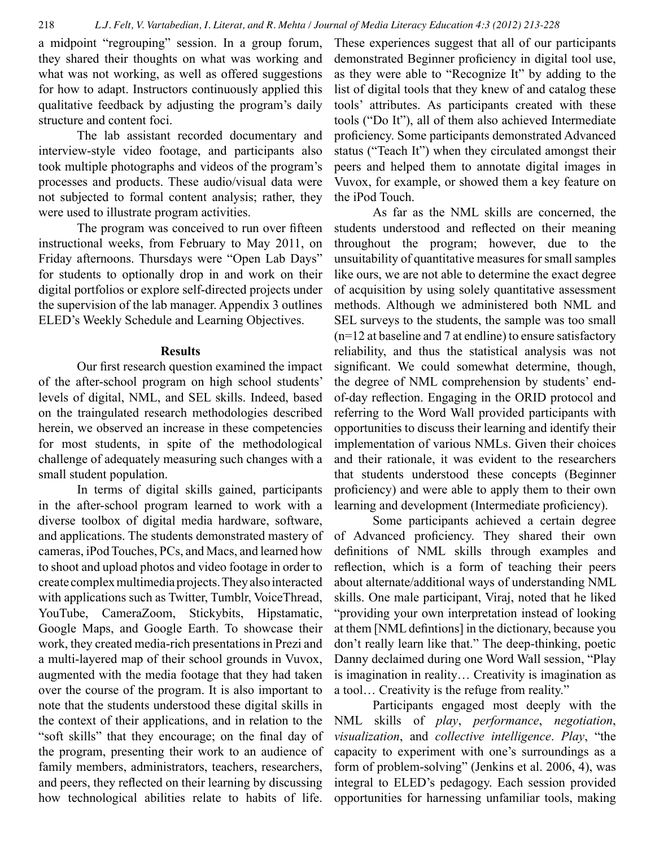a midpoint "regrouping" session. In a group forum, they shared their thoughts on what was working and what was not working, as well as offered suggestions for how to adapt. Instructors continuously applied this qualitative feedback by adjusting the program's daily structure and content foci.

The lab assistant recorded documentary and interview-style video footage, and participants also took multiple photographs and videos of the program's processes and products. These audio/visual data were not subjected to formal content analysis; rather, they were used to illustrate program activities.

The program was conceived to run over fifteen instructional weeks, from February to May 2011, on Friday afternoons. Thursdays were "Open Lab Days" for students to optionally drop in and work on their digital portfolios or explore self-directed projects under the supervision of the lab manager. Appendix 3 outlines ELED's Weekly Schedule and Learning Objectives.

#### **Results**

Our first research question examined the impact of the after-school program on high school students' levels of digital, NML, and SEL skills. Indeed, based on the traingulated research methodologies described herein, we observed an increase in these competencies for most students, in spite of the methodological challenge of adequately measuring such changes with a small student population.

In terms of digital skills gained, participants in the after-school program learned to work with a diverse toolbox of digital media hardware, software, and applications. The students demonstrated mastery of cameras, iPod Touches, PCs, and Macs, and learned how to shoot and upload photos and video footage in order to create complex multimedia projects. They also interacted with applications such as Twitter, Tumblr, VoiceThread, YouTube, CameraZoom, Stickybits, Hipstamatic, Google Maps, and Google Earth. To showcase their work, they created media-rich presentations in Prezi and a multi-layered map of their school grounds in Vuvox, augmented with the media footage that they had taken over the course of the program. It is also important to note that the students understood these digital skills in the context of their applications, and in relation to the "soft skills" that they encourage; on the final day of the program, presenting their work to an audience of family members, administrators, teachers, researchers, and peers, they reflected on their learning by discussing how technological abilities relate to habits of life.

These experiences suggest that all of our participants demonstrated Beginner proficiency in digital tool use, as they were able to "Recognize It" by adding to the list of digital tools that they knew of and catalog these tools' attributes. As participants created with these tools ("Do It"), all of them also achieved Intermediate proficiency. Some participants demonstrated Advanced status ("Teach It") when they circulated amongst their peers and helped them to annotate digital images in Vuvox, for example, or showed them a key feature on the iPod Touch.

As far as the NML skills are concerned, the students understood and reflected on their meaning throughout the program; however, due to the unsuitability of quantitative measures for small samples like ours, we are not able to determine the exact degree of acquisition by using solely quantitative assessment methods. Although we administered both NML and SEL surveys to the students, the sample was too small (n=12 at baseline and 7 at endline) to ensure satisfactory reliability, and thus the statistical analysis was not significant. We could somewhat determine, though, the degree of NML comprehension by students' endof-day reflection. Engaging in the ORID protocol and referring to the Word Wall provided participants with opportunities to discuss their learning and identify their implementation of various NMLs. Given their choices and their rationale, it was evident to the researchers that students understood these concepts (Beginner proficiency) and were able to apply them to their own learning and development (Intermediate proficiency).

Some participants achieved a certain degree of Advanced proficiency. They shared their own definitions of NML skills through examples and reflection, which is a form of teaching their peers about alternate/additional ways of understanding NML skills. One male participant, Viraj, noted that he liked "providing your own interpretation instead of looking at them [NML defintions] in the dictionary, because you don't really learn like that." The deep-thinking, poetic Danny declaimed during one Word Wall session, "Play is imagination in reality… Creativity is imagination as a tool… Creativity is the refuge from reality."

Participants engaged most deeply with the NML skills of *play*, *performance*, *negotiation*, *visualization*, and *collective intelligence*. *Play*, "the capacity to experiment with one's surroundings as a form of problem-solving" (Jenkins et al. 2006, 4), was integral to ELED's pedagogy. Each session provided opportunities for harnessing unfamiliar tools, making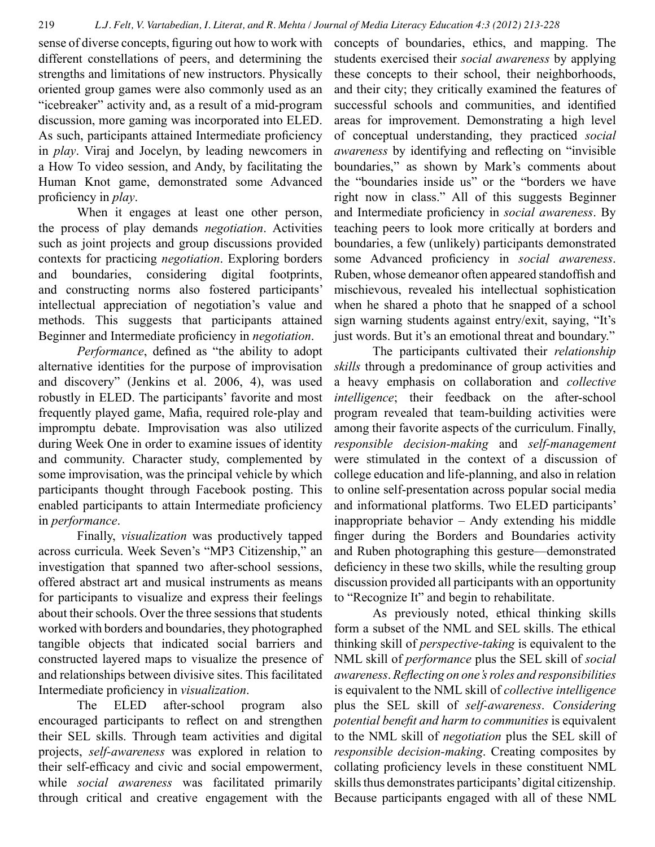sense of diverse concepts, figuring out how to work with different constellations of peers, and determining the strengths and limitations of new instructors. Physically oriented group games were also commonly used as an "icebreaker" activity and, as a result of a mid-program discussion, more gaming was incorporated into ELED. As such, participants attained Intermediate proficiency in *play*. Viraj and Jocelyn, by leading newcomers in a How To video session, and Andy, by facilitating the Human Knot game, demonstrated some Advanced proficiency in *play*.

When it engages at least one other person, the process of play demands *negotiation*. Activities such as joint projects and group discussions provided contexts for practicing *negotiation*. Exploring borders and boundaries, considering digital footprints, and constructing norms also fostered participants' intellectual appreciation of negotiation's value and methods. This suggests that participants attained Beginner and Intermediate proficiency in *negotiation*.

*Performance*, defined as "the ability to adopt alternative identities for the purpose of improvisation and discovery" (Jenkins et al. 2006, 4), was used robustly in ELED. The participants' favorite and most frequently played game, Mafia, required role-play and impromptu debate. Improvisation was also utilized during Week One in order to examine issues of identity and community. Character study, complemented by some improvisation, was the principal vehicle by which participants thought through Facebook posting. This enabled participants to attain Intermediate proficiency in *performance*.

Finally, *visualization* was productively tapped across curricula. Week Seven's "MP3 Citizenship," an investigation that spanned two after-school sessions, offered abstract art and musical instruments as means for participants to visualize and express their feelings about their schools. Over the three sessions that students worked with borders and boundaries, they photographed tangible objects that indicated social barriers and constructed layered maps to visualize the presence of and relationships between divisive sites. This facilitated Intermediate proficiency in *visualization*.

The ELED after-school program also encouraged participants to reflect on and strengthen their SEL skills. Through team activities and digital projects, *self-awareness* was explored in relation to their self-efficacy and civic and social empowerment, while *social awareness* was facilitated primarily through critical and creative engagement with the

concepts of boundaries, ethics, and mapping. The students exercised their *social awareness* by applying these concepts to their school, their neighborhoods, and their city; they critically examined the features of successful schools and communities, and identified areas for improvement. Demonstrating a high level of conceptual understanding, they practiced *social awareness* by identifying and reflecting on "invisible boundaries," as shown by Mark's comments about the "boundaries inside us" or the "borders we have right now in class." All of this suggests Beginner and Intermediate proficiency in *social awareness*. By teaching peers to look more critically at borders and boundaries, a few (unlikely) participants demonstrated some Advanced proficiency in *social awareness*. Ruben, whose demeanor often appeared standoffish and mischievous, revealed his intellectual sophistication when he shared a photo that he snapped of a school sign warning students against entry/exit, saying, "It's just words. But it's an emotional threat and boundary."

The participants cultivated their *relationship skills* through a predominance of group activities and a heavy emphasis on collaboration and *collective intelligence*; their feedback on the after-school program revealed that team-building activities were among their favorite aspects of the curriculum. Finally, *responsible decision-making* and *self-management*  were stimulated in the context of a discussion of college education and life-planning, and also in relation to online self-presentation across popular social media and informational platforms. Two ELED participants' inappropriate behavior – Andy extending his middle finger during the Borders and Boundaries activity and Ruben photographing this gesture—demonstrated deficiency in these two skills, while the resulting group discussion provided all participants with an opportunity to "Recognize It" and begin to rehabilitate.

As previously noted, ethical thinking skills form a subset of the NML and SEL skills. The ethical thinking skill of *perspective-taking* is equivalent to the NML skill of *performance* plus the SEL skill of *social awareness*. *Reflecting on one's roles and responsibilities*  is equivalent to the NML skill of *collective intelligence*  plus the SEL skill of *self-awareness*. *Considering potential benefit and harm to communities* is equivalent to the NML skill of *negotiation* plus the SEL skill of *responsible decision-making*. Creating composites by collating proficiency levels in these constituent NML skills thus demonstrates participants' digital citizenship. Because participants engaged with all of these NML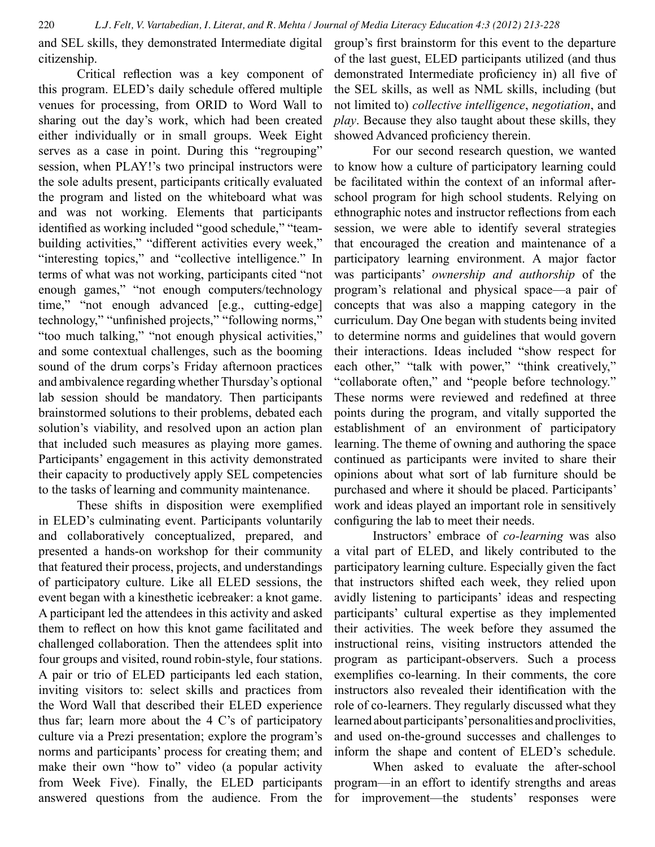and SEL skills, they demonstrated Intermediate digital citizenship.

Critical reflection was a key component of this program. ELED's daily schedule offered multiple venues for processing, from ORID to Word Wall to sharing out the day's work, which had been created either individually or in small groups. Week Eight serves as a case in point. During this "regrouping" session, when PLAY!'s two principal instructors were the sole adults present, participants critically evaluated the program and listed on the whiteboard what was and was not working. Elements that participants identified as working included "good schedule," "teambuilding activities," "different activities every week," "interesting topics," and "collective intelligence." In terms of what was not working, participants cited "not enough games," "not enough computers/technology time," "not enough advanced [e.g., cutting-edge] technology," "unfinished projects," "following norms," "too much talking," "not enough physical activities," and some contextual challenges, such as the booming sound of the drum corps's Friday afternoon practices and ambivalence regarding whether Thursday's optional lab session should be mandatory. Then participants brainstormed solutions to their problems, debated each solution's viability, and resolved upon an action plan that included such measures as playing more games. Participants' engagement in this activity demonstrated their capacity to productively apply SEL competencies to the tasks of learning and community maintenance.

These shifts in disposition were exemplified in ELED's culminating event. Participants voluntarily and collaboratively conceptualized, prepared, and presented a hands-on workshop for their community that featured their process, projects, and understandings of participatory culture. Like all ELED sessions, the event began with a kinesthetic icebreaker: a knot game. A participant led the attendees in this activity and asked them to reflect on how this knot game facilitated and challenged collaboration. Then the attendees split into four groups and visited, round robin-style, four stations. A pair or trio of ELED participants led each station, inviting visitors to: select skills and practices from the Word Wall that described their ELED experience thus far; learn more about the 4 C's of participatory culture via a Prezi presentation; explore the program's norms and participants' process for creating them; and make their own "how to" video (a popular activity from Week Five). Finally, the ELED participants answered questions from the audience. From the

group's first brainstorm for this event to the departure of the last guest, ELED participants utilized (and thus demonstrated Intermediate proficiency in) all five of the SEL skills, as well as NML skills, including (but not limited to) *collective intelligence*, *negotiation*, and *play*. Because they also taught about these skills, they showed Advanced proficiency therein.

For our second research question, we wanted to know how a culture of participatory learning could be facilitated within the context of an informal afterschool program for high school students. Relying on ethnographic notes and instructor reflections from each session, we were able to identify several strategies that encouraged the creation and maintenance of a participatory learning environment. A major factor was participants' *ownership and authorship* of the program's relational and physical space—a pair of concepts that was also a mapping category in the curriculum. Day One began with students being invited to determine norms and guidelines that would govern their interactions. Ideas included "show respect for each other," "talk with power," "think creatively," "collaborate often," and "people before technology." These norms were reviewed and redefined at three points during the program, and vitally supported the establishment of an environment of participatory learning. The theme of owning and authoring the space continued as participants were invited to share their opinions about what sort of lab furniture should be purchased and where it should be placed. Participants' work and ideas played an important role in sensitively configuring the lab to meet their needs.

Instructors' embrace of *co-learning* was also a vital part of ELED, and likely contributed to the participatory learning culture. Especially given the fact that instructors shifted each week, they relied upon avidly listening to participants' ideas and respecting participants' cultural expertise as they implemented their activities. The week before they assumed the instructional reins, visiting instructors attended the program as participant-observers. Such a process exemplifies co-learning. In their comments, the core instructors also revealed their identification with the role of co-learners. They regularly discussed what they learned about participants' personalities and proclivities, and used on-the-ground successes and challenges to inform the shape and content of ELED's schedule.

When asked to evaluate the after-school program—in an effort to identify strengths and areas for improvement—the students' responses were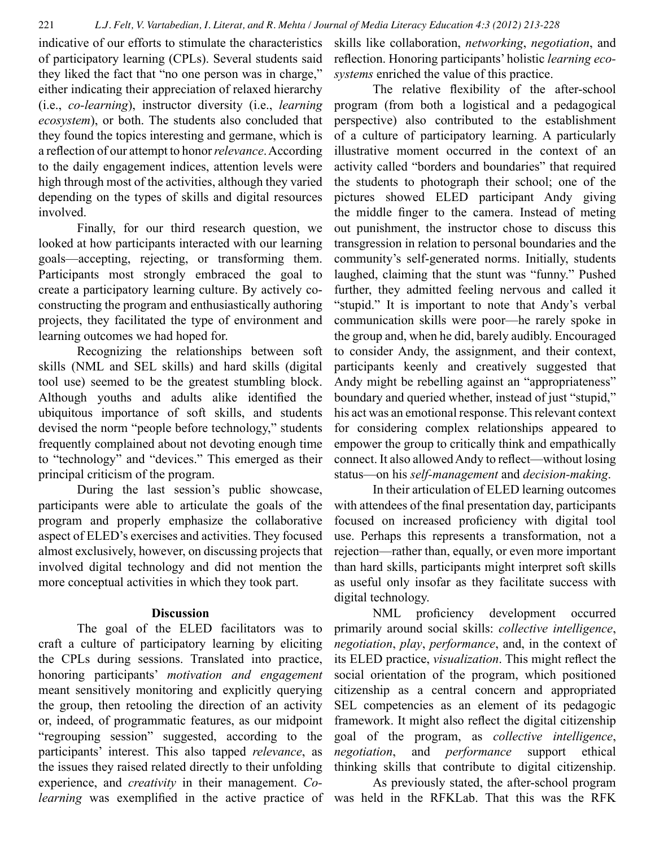indicative of our efforts to stimulate the characteristics of participatory learning (CPLs). Several students said they liked the fact that "no one person was in charge," either indicating their appreciation of relaxed hierarchy (i.e., *co-learning*), instructor diversity (i.e., *learning ecosystem*), or both. The students also concluded that they found the topics interesting and germane, which is a reflection of our attempt to honor *relevance*. According to the daily engagement indices, attention levels were high through most of the activities, although they varied depending on the types of skills and digital resources involved.

Finally, for our third research question, we looked at how participants interacted with our learning goals—accepting, rejecting, or transforming them. Participants most strongly embraced the goal to create a participatory learning culture. By actively coconstructing the program and enthusiastically authoring projects, they facilitated the type of environment and learning outcomes we had hoped for.

Recognizing the relationships between soft skills (NML and SEL skills) and hard skills (digital tool use) seemed to be the greatest stumbling block. Although youths and adults alike identified the ubiquitous importance of soft skills, and students devised the norm "people before technology," students frequently complained about not devoting enough time to "technology" and "devices." This emerged as their principal criticism of the program.

During the last session's public showcase, participants were able to articulate the goals of the program and properly emphasize the collaborative aspect of ELED's exercises and activities. They focused almost exclusively, however, on discussing projects that involved digital technology and did not mention the more conceptual activities in which they took part.

#### **Discussion**

The goal of the ELED facilitators was to craft a culture of participatory learning by eliciting the CPLs during sessions. Translated into practice, honoring participants' *motivation and engagement*  meant sensitively monitoring and explicitly querying the group, then retooling the direction of an activity or, indeed, of programmatic features, as our midpoint "regrouping session" suggested, according to the participants' interest. This also tapped *relevance*, as the issues they raised related directly to their unfolding experience, and *creativity* in their management. *Colearning* was exemplified in the active practice of

skills like collaboration, *networking*, *negotiation*, and reflection. Honoring participants' holistic *learning ecosystems* enriched the value of this practice.

The relative flexibility of the after-school program (from both a logistical and a pedagogical perspective) also contributed to the establishment of a culture of participatory learning. A particularly illustrative moment occurred in the context of an activity called "borders and boundaries" that required the students to photograph their school; one of the pictures showed ELED participant Andy giving the middle finger to the camera. Instead of meting out punishment, the instructor chose to discuss this transgression in relation to personal boundaries and the community's self-generated norms. Initially, students laughed, claiming that the stunt was "funny." Pushed further, they admitted feeling nervous and called it "stupid." It is important to note that Andy's verbal communication skills were poor—he rarely spoke in the group and, when he did, barely audibly. Encouraged to consider Andy, the assignment, and their context, participants keenly and creatively suggested that Andy might be rebelling against an "appropriateness" boundary and queried whether, instead of just "stupid," his act was an emotional response. This relevant context for considering complex relationships appeared to empower the group to critically think and empathically connect. It also allowed Andy to reflect—without losing status—on his *self-management* and *decision-making*.

In their articulation of ELED learning outcomes with attendees of the final presentation day, participants focused on increased proficiency with digital tool use. Perhaps this represents a transformation, not a rejection—rather than, equally, or even more important than hard skills, participants might interpret soft skills as useful only insofar as they facilitate success with digital technology.

NML proficiency development occurred primarily around social skills: *collective intelligence*, *negotiation*, *play*, *performance*, and, in the context of its ELED practice, *visualization*. This might reflect the social orientation of the program, which positioned citizenship as a central concern and appropriated SEL competencies as an element of its pedagogic framework. It might also reflect the digital citizenship goal of the program, as *collective intelligence*, *negotiation*, and *performance* support ethical thinking skills that contribute to digital citizenship.

As previously stated, the after-school program was held in the RFKLab. That this was the RFK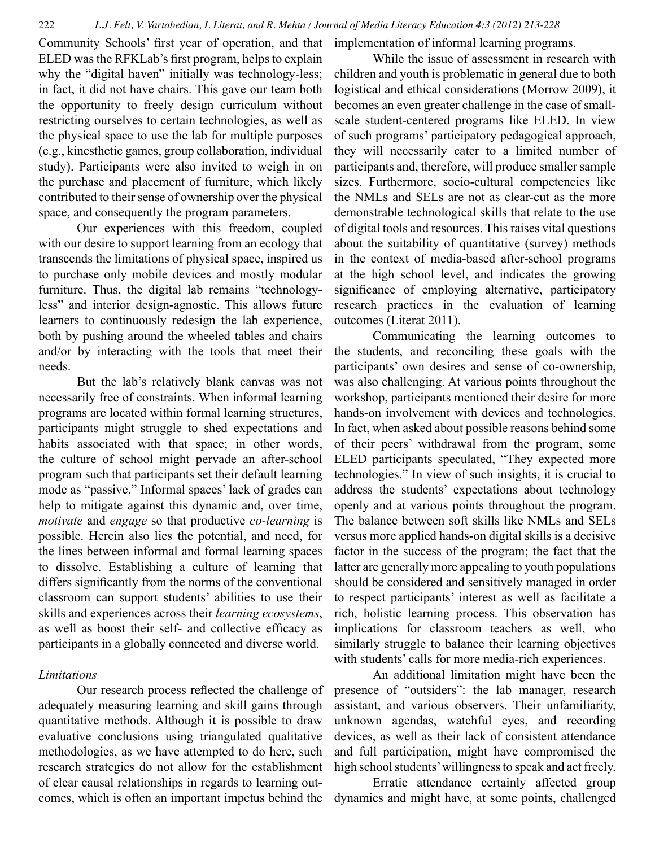Community Schools' first year of operation, and that ELED was the RFKLab's first program, helps to explain why the "digital haven" initially was technology-less; in fact, it did not have chairs. This gave our team both the opportunity to freely design curriculum without restricting ourselves to certain technologies, as well as the physical space to use the lab for multiple purposes (e.g., kinesthetic games, group collaboration, individual study). Participants were also invited to weigh in on the purchase and placement of furniture, which likely contributed to their sense of ownership over the physical space, and consequently the program parameters.

Our experiences with this freedom, coupled with our desire to support learning from an ecology that transcends the limitations of physical space, inspired us to purchase only mobile devices and mostly modular furniture. Thus, the digital lab remains "technologyless" and interior design-agnostic. This allows future learners to continuously redesign the lab experience, both by pushing around the wheeled tables and chairs and/or by interacting with the tools that meet their needs.

But the lab's relatively blank canvas was not necessarily free of constraints. When informal learning programs are located within formal learning structures, participants might struggle to shed expectations and habits associated with that space; in other words, the culture of school might pervade an after-school program such that participants set their default learning mode as "passive." Informal spaces' lack of grades can help to mitigate against this dynamic and, over time, *motivate* and *engage* so that productive *co-learning* is possible. Herein also lies the potential, and need, for the lines between informal and formal learning spaces to dissolve. Establishing a culture of learning that differs significantly from the norms of the conventional classroom can support students' abilities to use their skills and experiences across their *learning ecosystems*, as well as boost their self- and collective efficacy as participants in a globally connected and diverse world.

#### *Limitations*

Our research process reflected the challenge of adequately measuring learning and skill gains through quantitative methods. Although it is possible to draw evaluative conclusions using triangulated qualitative methodologies, as we have attempted to do here, such research strategies do not allow for the establishment of clear causal relationships in regards to learning outcomes, which is often an important impetus behind the implementation of informal learning programs.

While the issue of assessment in research with children and youth is problematic in general due to both logistical and ethical considerations (Morrow 2009), it becomes an even greater challenge in the case of smallscale student-centered programs like ELED. In view of such programs' participatory pedagogical approach, they will necessarily cater to a limited number of participants and, therefore, will produce smaller sample sizes. Furthermore, socio-cultural competencies like the NMLs and SELs are not as clear-cut as the more demonstrable technological skills that relate to the use of digital tools and resources. This raises vital questions about the suitability of quantitative (survey) methods in the context of media-based after-school programs at the high school level, and indicates the growing significance of employing alternative, participatory research practices in the evaluation of learning outcomes (Literat 2011).

Communicating the learning outcomes to the students, and reconciling these goals with the participants' own desires and sense of co-ownership, was also challenging. At various points throughout the workshop, participants mentioned their desire for more hands-on involvement with devices and technologies. In fact, when asked about possible reasons behind some of their peers' withdrawal from the program, some ELED participants speculated, "They expected more technologies." In view of such insights, it is crucial to address the students' expectations about technology openly and at various points throughout the program. The balance between soft skills like NMLs and SELs versus more applied hands-on digital skills is a decisive factor in the success of the program; the fact that the latter are generally more appealing to youth populations should be considered and sensitively managed in order to respect participants' interest as well as facilitate a rich, holistic learning process. This observation has implications for classroom teachers as well, who similarly struggle to balance their learning objectives with students' calls for more media-rich experiences.

An additional limitation might have been the presence of "outsiders": the lab manager, research assistant, and various observers. Their unfamiliarity, unknown agendas, watchful eyes, and recording devices, as well as their lack of consistent attendance and full participation, might have compromised the high school students' willingness to speak and act freely.

Erratic attendance certainly affected group dynamics and might have, at some points, challenged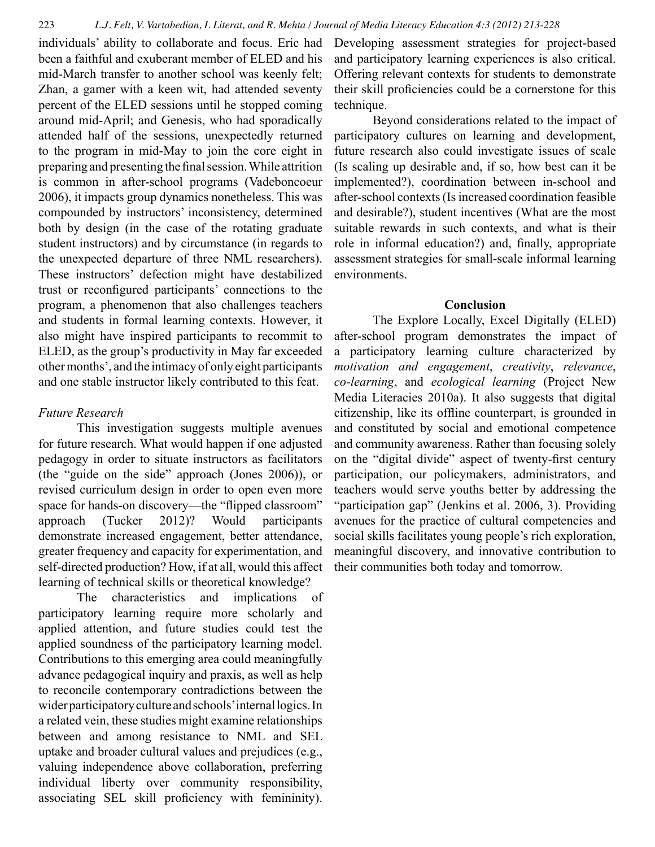individuals' ability to collaborate and focus. Eric had been a faithful and exuberant member of ELED and his mid-March transfer to another school was keenly felt; Zhan, a gamer with a keen wit, had attended seventy percent of the ELED sessions until he stopped coming around mid-April; and Genesis, who had sporadically attended half of the sessions, unexpectedly returned to the program in mid-May to join the core eight in preparing and presenting the final session. While attrition is common in after-school programs (Vadeboncoeur 2006), it impacts group dynamics nonetheless. This was compounded by instructors' inconsistency, determined both by design (in the case of the rotating graduate student instructors) and by circumstance (in regards to the unexpected departure of three NML researchers). These instructors' defection might have destabilized trust or reconfigured participants' connections to the program, a phenomenon that also challenges teachers and students in formal learning contexts. However, it also might have inspired participants to recommit to ELED, as the group's productivity in May far exceeded other months', and the intimacy of only eight participants and one stable instructor likely contributed to this feat.

## *Future Research*

This investigation suggests multiple avenues for future research. What would happen if one adjusted pedagogy in order to situate instructors as facilitators (the "guide on the side" approach (Jones 2006)), or revised curriculum design in order to open even more space for hands-on discovery—the "flipped classroom" approach (Tucker 2012)? Would participants demonstrate increased engagement, better attendance, greater frequency and capacity for experimentation, and self-directed production? How, if at all, would this affect learning of technical skills or theoretical knowledge?

The characteristics and implications of participatory learning require more scholarly and applied attention, and future studies could test the applied soundness of the participatory learning model. Contributions to this emerging area could meaningfully advance pedagogical inquiry and praxis, as well as help to reconcile contemporary contradictions between the wider participatory culture and schools' internal logics. In a related vein, these studies might examine relationships between and among resistance to NML and SEL uptake and broader cultural values and prejudices (e.g., valuing independence above collaboration, preferring individual liberty over community responsibility, associating SEL skill proficiency with femininity).

Developing assessment strategies for project-based and participatory learning experiences is also critical. Offering relevant contexts for students to demonstrate their skill proficiencies could be a cornerstone for this technique.

Beyond considerations related to the impact of participatory cultures on learning and development, future research also could investigate issues of scale (Is scaling up desirable and, if so, how best can it be implemented?), coordination between in-school and after-school contexts (Is increased coordination feasible and desirable?), student incentives (What are the most suitable rewards in such contexts, and what is their role in informal education?) and, finally, appropriate assessment strategies for small-scale informal learning environments.

#### **Conclusion**

The Explore Locally, Excel Digitally (ELED) after-school program demonstrates the impact of a participatory learning culture characterized by *motivation and engagement*, *creativity*, *relevance*, *co-learning*, and *ecological learning* (Project New Media Literacies 2010a). It also suggests that digital citizenship, like its offline counterpart, is grounded in and constituted by social and emotional competence and community awareness. Rather than focusing solely on the "digital divide" aspect of twenty-first century participation, our policymakers, administrators, and teachers would serve youths better by addressing the "participation gap" (Jenkins et al. 2006, 3). Providing avenues for the practice of cultural competencies and social skills facilitates young people's rich exploration, meaningful discovery, and innovative contribution to their communities both today and tomorrow.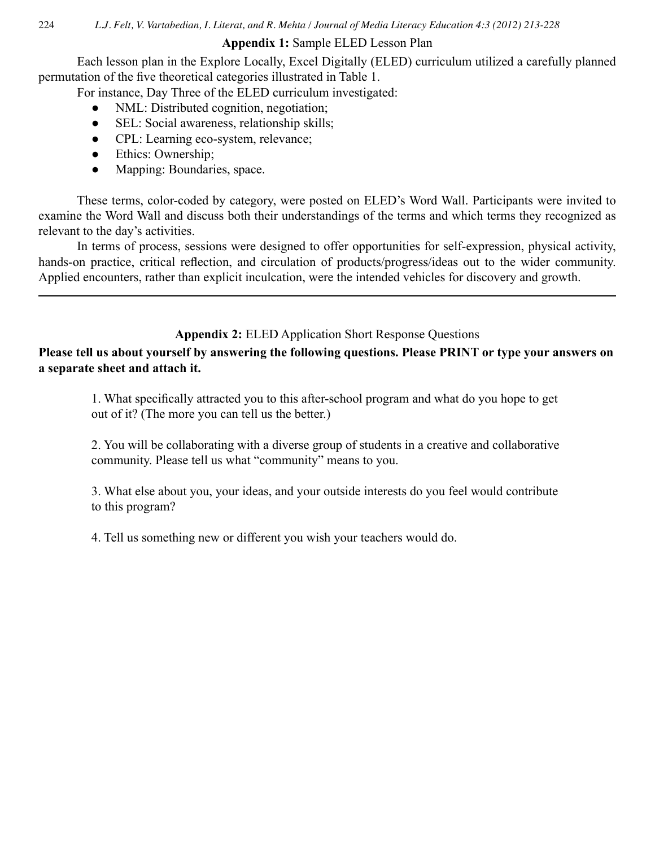## **Appendix 1:** Sample ELED Lesson Plan

Each lesson plan in the Explore Locally, Excel Digitally (ELED) curriculum utilized a carefully planned permutation of the five theoretical categories illustrated in Table 1.

For instance, Day Three of the ELED curriculum investigated:

- NML: Distributed cognition, negotiation;
- SEL: Social awareness, relationship skills;
- CPL: Learning eco-system, relevance;
- Ethics: Ownership;
- Mapping: Boundaries, space.

These terms, color-coded by category, were posted on ELED's Word Wall. Participants were invited to examine the Word Wall and discuss both their understandings of the terms and which terms they recognized as relevant to the day's activities.

In terms of process, sessions were designed to offer opportunities for self-expression, physical activity, hands-on practice, critical reflection, and circulation of products/progress/ideas out to the wider community. Applied encounters, rather than explicit inculcation, were the intended vehicles for discovery and growth.

# **Appendix 2:** ELED Application Short Response Questions

**Please tell us about yourself by answering the following questions. Please PRINT or type your answers on a separate sheet and attach it.**

1. What specifically attracted you to this after-school program and what do you hope to get out of it? (The more you can tell us the better.)

2. You will be collaborating with a diverse group of students in a creative and collaborative community. Please tell us what "community" means to you.

3. What else about you, your ideas, and your outside interests do you feel would contribute to this program?

4. Tell us something new or different you wish your teachers would do.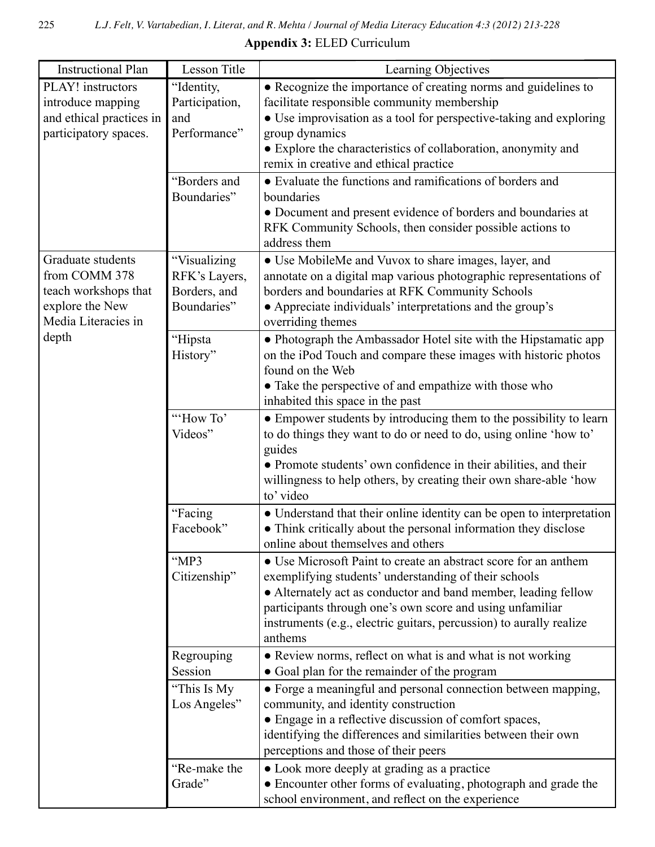**Appendix 3:** ELED Curriculum

| <b>Instructional Plan</b> | Lesson Title   | Learning Objectives                                                   |
|---------------------------|----------------|-----------------------------------------------------------------------|
| PLAY! instructors         | "Identity,     | • Recognize the importance of creating norms and guidelines to        |
| introduce mapping         | Participation, | facilitate responsible community membership                           |
| and ethical practices in  | and            | • Use improvisation as a tool for perspective-taking and exploring    |
| participatory spaces.     | Performance"   | group dynamics                                                        |
|                           |                | • Explore the characteristics of collaboration, anonymity and         |
|                           |                | remix in creative and ethical practice                                |
|                           | "Borders and   | • Evaluate the functions and ramifications of borders and             |
|                           | Boundaries"    | boundaries                                                            |
|                           |                | • Document and present evidence of borders and boundaries at          |
|                           |                | RFK Community Schools, then consider possible actions to              |
|                           |                | address them                                                          |
| Graduate students         | "Visualizing   | • Use MobileMe and Vuvox to share images, layer, and                  |
| from COMM 378             | RFK's Layers,  | annotate on a digital map various photographic representations of     |
| teach workshops that      | Borders, and   | borders and boundaries at RFK Community Schools                       |
| explore the New           | Boundaries"    | • Appreciate individuals' interpretations and the group's             |
| Media Literacies in       |                | overriding themes                                                     |
| depth                     | "Hipsta        | • Photograph the Ambassador Hotel site with the Hipstamatic app       |
|                           | History"       | on the iPod Touch and compare these images with historic photos       |
|                           |                | found on the Web                                                      |
|                           |                | • Take the perspective of and empathize with those who                |
|                           |                | inhabited this space in the past                                      |
|                           | "How To"       | • Empower students by introducing them to the possibility to learn    |
|                           | Videos"        | to do things they want to do or need to do, using online 'how to'     |
|                           |                | guides                                                                |
|                           |                | • Promote students' own confidence in their abilities, and their      |
|                           |                | willingness to help others, by creating their own share-able 'how     |
|                           |                | to' video                                                             |
|                           | "Facing        | • Understand that their online identity can be open to interpretation |
|                           | Facebook"      | • Think critically about the personal information they disclose       |
|                           |                | online about themselves and others                                    |
|                           | "MP3           | • Use Microsoft Paint to create an abstract score for an anthem       |
|                           | Citizenship"   | exemplifying students' understanding of their schools                 |
|                           |                | • Alternately act as conductor and band member, leading fellow        |
|                           |                | participants through one's own score and using unfamiliar             |
|                           |                | instruments (e.g., electric guitars, percussion) to aurally realize   |
|                           |                | anthems                                                               |
|                           | Regrouping     | • Review norms, reflect on what is and what is not working            |
|                           | Session        | • Goal plan for the remainder of the program                          |
|                           | "This Is My    | • Forge a meaningful and personal connection between mapping,         |
|                           | Los Angeles"   | community, and identity construction                                  |
|                           |                | • Engage in a reflective discussion of comfort spaces,                |
|                           |                | identifying the differences and similarities between their own        |
|                           |                | perceptions and those of their peers                                  |
|                           | "Re-make the   | • Look more deeply at grading as a practice                           |
|                           | Grade"         | • Encounter other forms of evaluating, photograph and grade the       |
|                           |                | school environment, and reflect on the experience                     |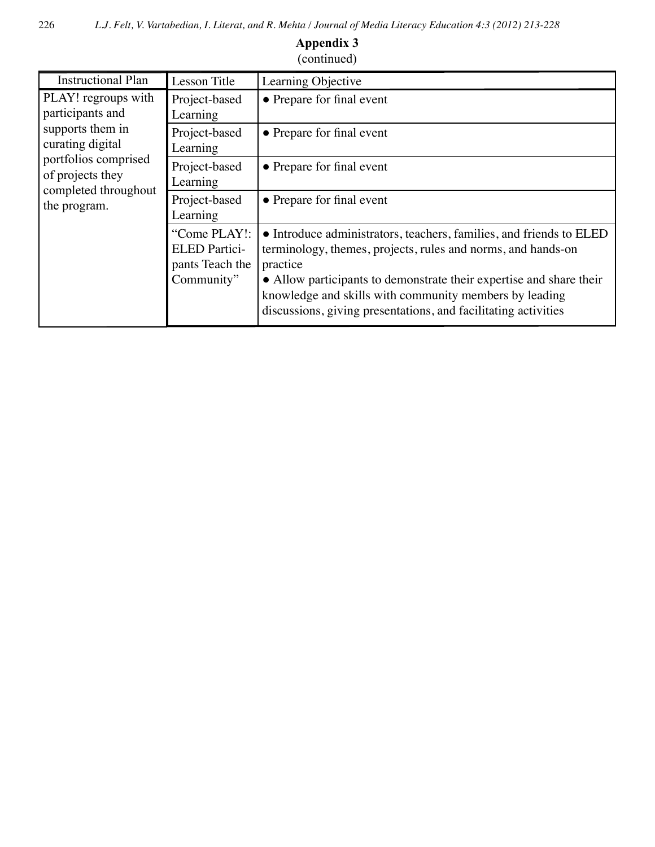| $\overline{\mathbf{v}}$                                                                                                                                             |                                                                       |                                                                                                                                                                                                                                                                                  |  |  |
|---------------------------------------------------------------------------------------------------------------------------------------------------------------------|-----------------------------------------------------------------------|----------------------------------------------------------------------------------------------------------------------------------------------------------------------------------------------------------------------------------------------------------------------------------|--|--|
| <b>Instructional Plan</b>                                                                                                                                           | Lesson Title                                                          | Learning Objective                                                                                                                                                                                                                                                               |  |  |
| PLAY! regroups with<br>participants and<br>supports them in<br>curating digital<br>portfolios comprised<br>of projects they<br>completed throughout<br>the program. | Project-based<br>Learning                                             | • Prepare for final event                                                                                                                                                                                                                                                        |  |  |
|                                                                                                                                                                     | Project-based<br>Learning                                             | • Prepare for final event                                                                                                                                                                                                                                                        |  |  |
|                                                                                                                                                                     | Project-based<br>Learning                                             | • Prepare for final event                                                                                                                                                                                                                                                        |  |  |
|                                                                                                                                                                     | Project-based<br>Learning                                             | • Prepare for final event                                                                                                                                                                                                                                                        |  |  |
|                                                                                                                                                                     | "Come PLAY!:<br><b>ELED</b> Partici-<br>pants Teach the<br>Community" | • Introduce administrators, teachers, families, and friends to ELED<br>terminology, themes, projects, rules and norms, and hands-on<br>practice<br>• Allow participants to demonstrate their expertise and share their<br>knowledge and skills with community members by leading |  |  |
|                                                                                                                                                                     |                                                                       | discussions, giving presentations, and facilitating activities                                                                                                                                                                                                                   |  |  |

## **Appendix 3** (continued)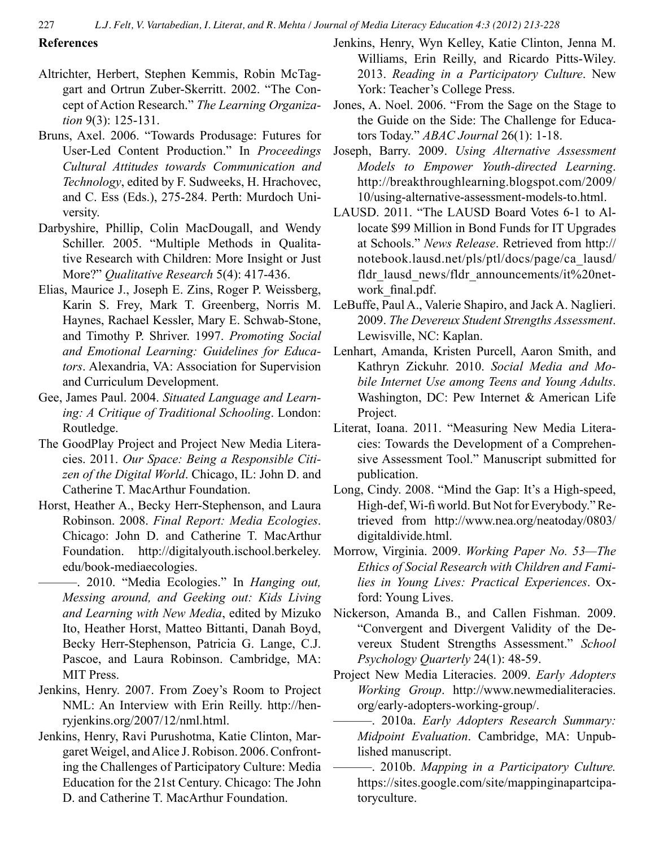## **References**

- Altrichter, Herbert, Stephen Kemmis, Robin McTaggart and Ortrun Zuber-Skerritt. 2002. "The Concept of Action Research." *The Learning Organization* 9(3): 125-131.
- Bruns, Axel. 2006. "Towards Produsage: Futures for User-Led Content Production." In *Proceedings Cultural Attitudes towards Communication and Technology*, edited by F. Sudweeks, H. Hrachovec, and C. Ess (Eds.), 275-284. Perth: Murdoch University.
- Darbyshire, Phillip, Colin MacDougall, and Wendy Schiller. 2005. "Multiple Methods in Qualitative Research with Children: More Insight or Just More?" *Qualitative Research* 5(4): 417-436.
- Elias, Maurice J., Joseph E. Zins, Roger P. Weissberg, Karin S. Frey, Mark T. Greenberg, Norris M. Haynes, Rachael Kessler, Mary E. Schwab-Stone, and Timothy P. Shriver. 1997. *Promoting Social and Emotional Learning: Guidelines for Educators*. Alexandria, VA: Association for Supervision and Curriculum Development.
- Gee, James Paul. 2004. *Situated Language and Learning: A Critique of Traditional Schooling*. London: Routledge.
- The GoodPlay Project and Project New Media Literacies. 2011. *Our Space: Being a Responsible Citizen of the Digital World*. Chicago, IL: John D. and Catherine T. MacArthur Foundation.
- Horst, Heather A., Becky Herr-Stephenson, and Laura Robinson. 2008. *Final Report: Media Ecologies*. Chicago: John D. and Catherine T. MacArthur Foundation. http://digitalyouth.ischool.berkeley. edu/book-mediaecologies.
- ———. 2010. "Media Ecologies." In *Hanging out, Messing around, and Geeking out: Kids Living and Learning with New Media*, edited by Mizuko Ito, Heather Horst, Matteo Bittanti, Danah Boyd, Becky Herr-Stephenson, Patricia G. Lange, C.J. Pascoe, and Laura Robinson. Cambridge, MA: MIT Press.
- Jenkins, Henry. 2007. From Zoey's Room to Project NML: An Interview with Erin Reilly. http://henryjenkins.org/2007/12/nml.html.
- Jenkins, Henry, Ravi Purushotma, Katie Clinton, Margaret Weigel, and Alice J.Robison. 2006.Confronting the Challenges of Participatory Culture: Media Education for the 21st Century. Chicago: The John D. and Catherine T. MacArthur Foundation.
- Jenkins, Henry, Wyn Kelley, Katie Clinton, Jenna M. Williams, Erin Reilly, and Ricardo Pitts-Wiley. 2013. *Reading in a Participatory Culture*. New York: Teacher's College Press.
- Jones, A. Noel. 2006. "From the Sage on the Stage to the Guide on the Side: The Challenge for Educators Today." *ABAC Journal* 26(1): 1-18.
- Joseph, Barry. 2009. *Using Alternative Assessment Models to Empower Youth-directed Learning*. http://breakthroughlearning.blogspot.com/2009/ 10/using-alternative-assessment-models-to.html.
- LAUSD. 2011. "The LAUSD Board Votes 6-1 to Allocate \$99 Million in Bond Funds for IT Upgrades at Schools." *News Release*. Retrieved from http:// notebook.lausd.net/pls/ptl/docs/page/ca\_lausd/ fldr\_lausd\_news/fldr\_announcements/it%20network final.pdf.
- LeBuffe, Paul A., Valerie Shapiro, and Jack A. Naglieri. 2009. *The Devereux Student Strengths Assessment*. Lewisville, NC: Kaplan.
- Lenhart, Amanda, Kristen Purcell, Aaron Smith, and Kathryn Zickuhr. 2010. *Social Media and Mobile Internet Use among Teens and Young Adults*. Washington, DC: Pew Internet & American Life Project.
- Literat, Ioana. 2011. "Measuring New Media Literacies: Towards the Development of a Comprehensive Assessment Tool." Manuscript submitted for publication.
- Long, Cindy. 2008. "Mind the Gap: It's a High-speed, High-def, Wi-fi world. But Not for Everybody." Retrieved from http://www.nea.org/neatoday/0803/ digitaldivide.html.
- Morrow, Virginia. 2009. *Working Paper No. 53—The Ethics of Social Research with Children and Families in Young Lives: Practical Experiences*. Oxford: Young Lives.
- Nickerson, Amanda B., and Callen Fishman. 2009. "Convergent and Divergent Validity of the Devereux Student Strengths Assessment." *School Psychology Quarterly* 24(1): 48-59.
- Project New Media Literacies. 2009. *Early Adopters Working Group*. http://www.newmedialiteracies. org/early-adopters-working-group/.
	- ———. 2010a. *Early Adopters Research Summary: Midpoint Evaluation*. Cambridge, MA: Unpublished manuscript.
	- ———. 2010b. *Mapping in a Participatory Culture.* https://sites.google.com/site/mappinginapartcipatoryculture.